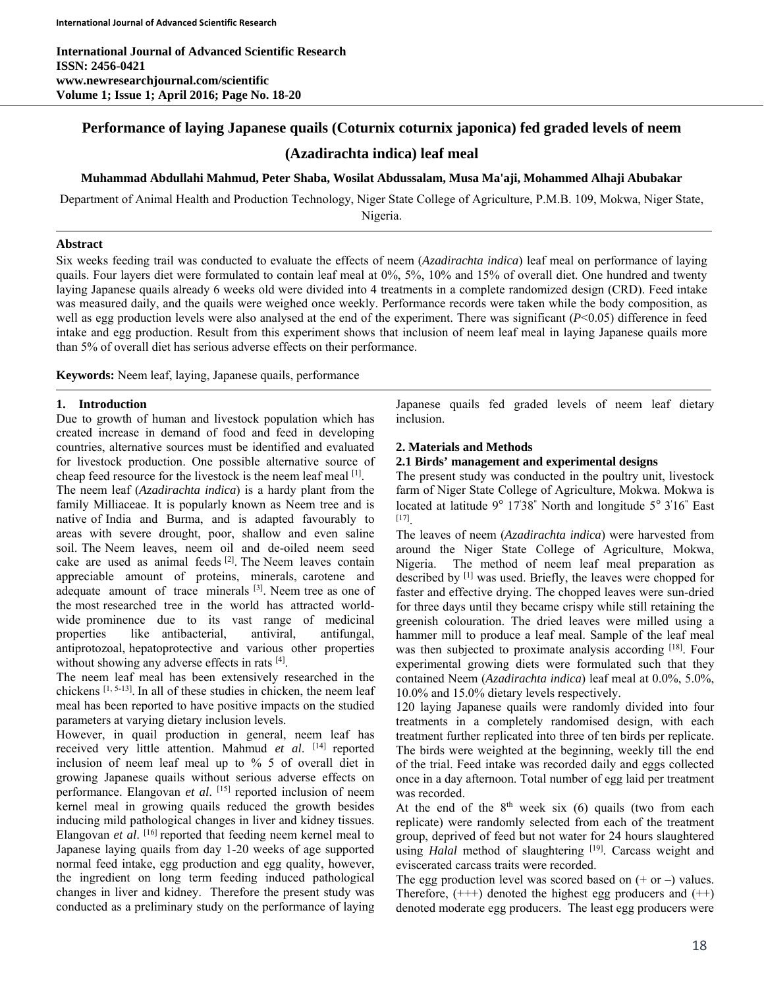**International Journal of Advanced Scientific Research ISSN: 2456-0421 www.newresearchjournal.com/scientific Volume 1; Issue 1; April 2016; Page No. 18-20** 

# **Performance of laying Japanese quails (Coturnix coturnix japonica) fed graded levels of neem (Azadirachta indica) leaf meal**

## **Muhammad Abdullahi Mahmud, Peter Shaba, Wosilat Abdussalam, Musa Ma'aji, Mohammed Alhaji Abubakar**

Department of Animal Health and Production Technology, Niger State College of Agriculture, P.M.B. 109, Mokwa, Niger State, Nigeria.

### **Abstract**

Six weeks feeding trail was conducted to evaluate the effects of neem (*Azadirachta indica*) leaf meal on performance of laying quails. Four layers diet were formulated to contain leaf meal at 0%, 5%, 10% and 15% of overall diet. One hundred and twenty laying Japanese quails already 6 weeks old were divided into 4 treatments in a complete randomized design (CRD). Feed intake was measured daily, and the quails were weighed once weekly. Performance records were taken while the body composition, as well as egg production levels were also analysed at the end of the experiment. There was significant (*P*<0.05) difference in feed intake and egg production. Result from this experiment shows that inclusion of neem leaf meal in laying Japanese quails more than 5% of overall diet has serious adverse effects on their performance.

**Keywords:** Neem leaf, laying, Japanese quails, performance

#### **1. Introduction**

Due to growth of human and livestock population which has created increase in demand of food and feed in developing countries, alternative sources must be identified and evaluated for livestock production. One possible alternative source of cheap feed resource for the livestock is the neem leaf meal [1].

The neem leaf (*Azadirachta indica*) is a hardy plant from the family Milliaceae. It is popularly known as Neem tree and is native of India and Burma, and is adapted favourably to areas with severe drought, poor, shallow and even saline soil. The Neem leaves, neem oil and de-oiled neem seed cake are used as animal feeds [2]. The Neem leaves contain appreciable amount of proteins, minerals, carotene and adequate amount of trace minerals  $[3]$ . Neem tree as one of the most researched tree in the world has attracted worldwide prominence due to its vast range of medicinal properties like antibacterial, antiviral, antifungal, antiprotozoal, hepatoprotective and various other properties without showing any adverse effects in rats [4].

The neem leaf meal has been extensively researched in the chickens [1, 5-13]. In all of these studies in chicken, the neem leaf meal has been reported to have positive impacts on the studied parameters at varying dietary inclusion levels.

However, in quail production in general, neem leaf has received very little attention. Mahmud *et al*. [14] reported inclusion of neem leaf meal up to % 5 of overall diet in growing Japanese quails without serious adverse effects on performance. Elangovan *et al.* [15] reported inclusion of neem kernel meal in growing quails reduced the growth besides inducing mild pathological changes in liver and kidney tissues. Elangovan *et al*. [16] reported that feeding neem kernel meal to Japanese laying quails from day 1-20 weeks of age supported normal feed intake, egg production and egg quality, however, the ingredient on long term feeding induced pathological changes in liver and kidney. Therefore the present study was conducted as a preliminary study on the performance of laying

Japanese quails fed graded levels of neem leaf dietary inclusion.

#### **2. Materials and Methods**

#### **2.1 Birds' management and experimental designs**

The present study was conducted in the poultry unit, livestock farm of Niger State College of Agriculture, Mokwa. Mokwa is located at latitude 9° 17'38" North and longitude 5° 3'16" East [17].

The leaves of neem (*Azadirachta indica*) were harvested from around the Niger State College of Agriculture, Mokwa, Nigeria. The method of neem leaf meal preparation as described by [1] was used. Briefly, the leaves were chopped for faster and effective drying. The chopped leaves were sun-dried for three days until they became crispy while still retaining the greenish colouration. The dried leaves were milled using a hammer mill to produce a leaf meal. Sample of the leaf meal was then subjected to proximate analysis according [18]. Four experimental growing diets were formulated such that they contained Neem (*Azadirachta indica*) leaf meal at 0.0%, 5.0%, 10.0% and 15.0% dietary levels respectively.

120 laying Japanese quails were randomly divided into four treatments in a completely randomised design, with each treatment further replicated into three of ten birds per replicate. The birds were weighted at the beginning, weekly till the end of the trial. Feed intake was recorded daily and eggs collected once in a day afternoon. Total number of egg laid per treatment was recorded.

At the end of the  $8<sup>th</sup>$  week six (6) quails (two from each replicate) were randomly selected from each of the treatment group, deprived of feed but not water for 24 hours slaughtered using *Halal* method of slaughtering <sup>[19]</sup>. Carcass weight and eviscerated carcass traits were recorded.

The egg production level was scored based on  $(+ or -)$  values. Therefore,  $(++)$  denoted the highest egg producers and  $(++)$ denoted moderate egg producers. The least egg producers were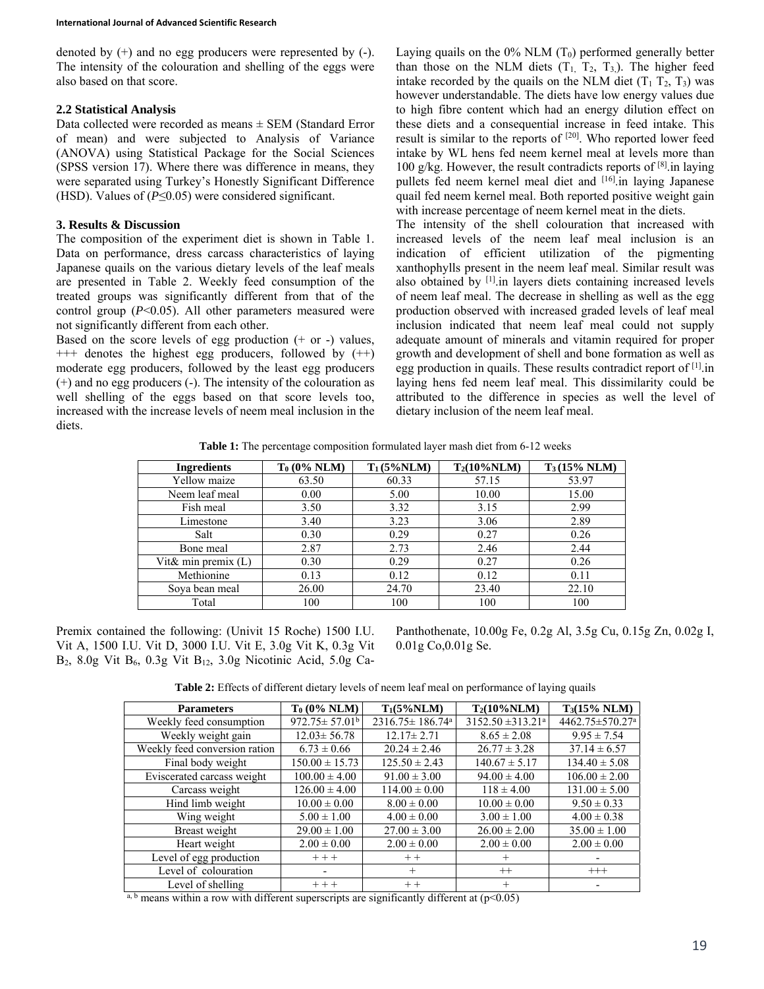denoted by (+) and no egg producers were represented by (-). The intensity of the colouration and shelling of the eggs were also based on that score.

## **2.2 Statistical Analysis**

Data collected were recorded as means ± SEM (Standard Error of mean) and were subjected to Analysis of Variance (ANOVA) using Statistical Package for the Social Sciences (SPSS version 17). Where there was difference in means, they were separated using Turkey's Honestly Significant Difference (HSD). Values of (*P*≤0.05) were considered significant.

## **3. Results & Discussion**

The composition of the experiment diet is shown in Table 1. Data on performance, dress carcass characteristics of laying Japanese quails on the various dietary levels of the leaf meals are presented in Table 2. Weekly feed consumption of the treated groups was significantly different from that of the control group (*P*<0.05). All other parameters measured were not significantly different from each other.

Based on the score levels of egg production  $(+ or -)$  values, +++ denotes the highest egg producers, followed by (++) moderate egg producers, followed by the least egg producers (+) and no egg producers (-). The intensity of the colouration as well shelling of the eggs based on that score levels too, increased with the increase levels of neem meal inclusion in the diets.

Laying quails on the  $0\%$  NLM  $(T_0)$  performed generally better than those on the NLM diets  $(T_1, T_2, T_3)$ . The higher feed intake recorded by the quails on the NLM diet  $(T_1 T_2, T_3)$  was however understandable. The diets have low energy values due to high fibre content which had an energy dilution effect on these diets and a consequential increase in feed intake. This result is similar to the reports of [20]. Who reported lower feed intake by WL hens fed neem kernel meal at levels more than 100 g/kg. However, the result contradicts reports of  $[8]$  in laying pullets fed neem kernel meal diet and [16].in laying Japanese quail fed neem kernel meal. Both reported positive weight gain with increase percentage of neem kernel meat in the diets.

The intensity of the shell colouration that increased with increased levels of the neem leaf meal inclusion is an indication of efficient utilization of the pigmenting xanthophylls present in the neem leaf meal. Similar result was also obtained by [1].in layers diets containing increased levels of neem leaf meal. The decrease in shelling as well as the egg production observed with increased graded levels of leaf meal inclusion indicated that neem leaf meal could not supply adequate amount of minerals and vitamin required for proper growth and development of shell and bone formation as well as egg production in quails. These results contradict report of [1].in laying hens fed neem leaf meal. This dissimilarity could be attributed to the difference in species as well the level of dietary inclusion of the neem leaf meal.

**Table 1:** The percentage composition formulated layer mash diet from 6-12 weeks

| <b>Ingredients</b>  | $T_0$ (0% NLM) | $T_1(5\%NLM)$ | $T_2(10\%NLM)$ | $T_3(15% NLM)$ |
|---------------------|----------------|---------------|----------------|----------------|
| Yellow maize        | 63.50          | 60.33         | 57.15          | 53.97          |
| Neem leaf meal      | 0.00           | 5.00          | 10.00          | 15.00          |
| Fish meal           | 3.50           | 3.32          | 3.15           | 2.99           |
| Limestone           | 3.40           | 3.23          | 3.06           | 2.89           |
| Salt                | 0.30           | 0.29          | 0.27           | 0.26           |
| Bone meal           | 2.87           | 2.73          | 2.46           | 2.44           |
| Vit& min premix (L) | 0.30           | 0.29          | 0.27           | 0.26           |
| Methionine          | 0.13           | 0.12          | 0.12           | 0.11           |
| Sova bean meal      | 26.00          | 24.70         | 23.40          | 22.10          |
| Total               | 100            | 100           | 100            | 100            |

Premix contained the following: (Univit 15 Roche) 1500 I.U. Vit A, 1500 I.U. Vit D, 3000 I.U. Vit E, 3.0g Vit K, 0.3g Vit  $B_2$ , 8.0g Vit  $B_6$ , 0.3g Vit  $B_{12}$ , 3.0g Nicotinic Acid, 5.0g Ca-

Panthothenate, 10.00g Fe, 0.2g Al, 3.5g Cu, 0.15g Zn, 0.02g I, 0.01g Co,0.01g Se.

**Table 2:** Effects of different dietary levels of neem leaf meal on performance of laying quails

| <b>Parameters</b>             | $T_0$ (0% NLM)             | $T_1(5\%NLM)$                     | $T_2(10\%NLM)$                    | $T_3(15\% \text{ NLM})$ |
|-------------------------------|----------------------------|-----------------------------------|-----------------------------------|-------------------------|
| Weekly feed consumption       | $972.75 \pm 57.01^{\rm b}$ | $2316.75 \pm 186.74$ <sup>a</sup> | $3152.50 \pm 313.21$ <sup>a</sup> | 4462.75±570.27ª         |
| Weekly weight gain            | $12.03 \pm 56.78$          | $12.17 \pm 2.71$                  | $8.65 \pm 2.08$                   | $9.95 \pm 7.54$         |
| Weekly feed conversion ration | $6.73 \pm 0.66$            | $20.24 \pm 2.46$                  | $26.77 \pm 3.28$                  | $37.14 \pm 6.57$        |
| Final body weight             | $150.00 \pm 15.73$         | $125.50 \pm 2.43$                 | $140.67 \pm 5.17$                 | $134.40 \pm 5.08$       |
| Eviscerated carcass weight    | $100.00 \pm 4.00$          | $91.00 \pm 3.00$                  | $94.00 \pm 4.00$                  | $106.00 \pm 2.00$       |
| Carcass weight                | $126.00 \pm 4.00$          | $114.00 \pm 0.00$                 | $118 \pm 4.00$                    | $131.00 \pm 5.00$       |
| Hind limb weight              | $10.00 \pm 0.00$           | $8.00 \pm 0.00$                   | $10.00 \pm 0.00$                  | $9.50 \pm 0.33$         |
| Wing weight                   | $5.00 \pm 1.00$            | $4.00 \pm 0.00$                   | $3.00 \pm 1.00$                   | $4.00 \pm 0.38$         |
| Breast weight                 | $29.00 \pm 1.00$           | $27.00 \pm 3.00$                  | $26.00 \pm 2.00$                  | $35.00 \pm 1.00$        |
| Heart weight                  | $2.00 \pm 0.00$            | $2.00 \pm 0.00$                   | $2.00 \pm 0.00$                   | $2.00 \pm 0.00$         |
| Level of egg production       | $+++$                      | $++$                              |                                   |                         |
| Level of colouration          |                            | $^{+}$                            | $^{++}$                           | $^{+++}$                |
| Level of shelling             | $+++$                      | $++$                              |                                   |                         |

<sup>a, b</sup> means within a row with different superscripts are significantly different at  $(p<0.05)$